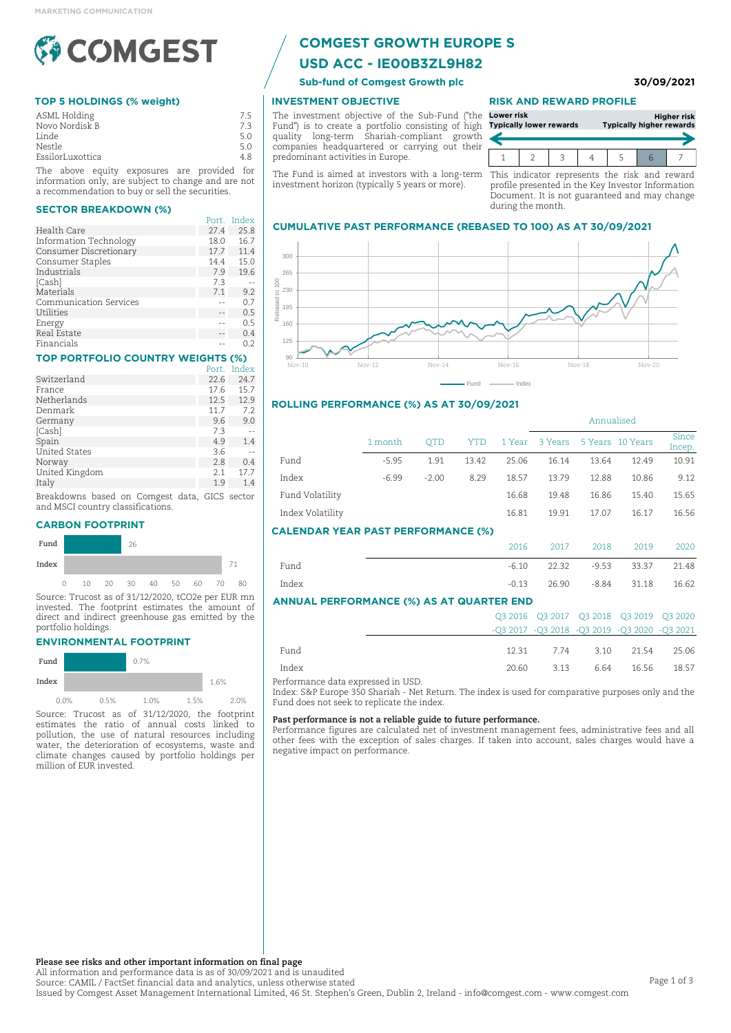

## **TOP 5 HOLDINGS (% weight)**

| ASML Holding     |  | 7.5 |
|------------------|--|-----|
| Novo Nordisk B   |  | 7.3 |
| Linde            |  | 5.0 |
| Nestle           |  | 5.0 |
| EssilorLuxottica |  | 4.8 |
|                  |  |     |

The above equity exposures are provided for information only, are subject to change and are not a recommendation to buy or sell the securities.

#### **SECTOR BREAKDOWN (%)**

| Port. | Index |
|-------|-------|
| 27.4  | 25.8  |
| 18.0  | 16.7  |
| 17.7  | 11.4  |
| 14.4  | 15.0  |
| 7.9   | 19.6  |
| 7.3   |       |
| 7.1   | 9.2   |
|       | 0.7   |
|       | 0.5   |
|       | 0.5   |
|       | 0.4   |
|       | 0.2   |
|       |       |

## **TOP PORTFOLIO COUNTRY WEIGHTS (%)**

|                      | Port. | Index |
|----------------------|-------|-------|
| Switzerland          | 22.6  | 24.7  |
| France               | 17.6  | 15.7  |
| Netherlands          | 12.5  | 12.9  |
| Denmark              | 11.7  | 7.2   |
| Germany              | 9.6   | 9.0   |
| [Cash]               | 7.3   |       |
| Spain                | 4.9   | 1.4   |
| <b>United States</b> | 3.6   |       |
| Norway               | 2.8   | 0.4   |
| United Kingdom       | 2.1   | 17.7  |
| Italy                | 1.9   | 1.4   |
|                      |       |       |

Breakdowns based on Comgest data, GICS sector and MSCI country classifications.

#### **CARBON FOOTPRINT**



Source: Trucost as of 31/12/2020, tCO2e per EUR mn invested. The footprint estimates the amount of direct and indirect greenhouse gas emitted by the portfolio holdings.

#### **ENVIRONMENTAL FOOTPRINT**

| Fund  |      |      | 0.7% |      |      |      |
|-------|------|------|------|------|------|------|
| Index |      |      |      |      | 1.6% |      |
|       | 0.0% | 0.5% | 1.0% | 1.5% |      | 2.0% |

Source: Trucost as of 31/12/2020, the footprint estimates the ratio of annual costs linked to pollution, the use of natural resources including water, the deterioration of ecosystems, waste and climate changes caused by portfolio holdings per million of EUR invested.

# **COMGEST GROWTH EUROPE S**

# **USD ACC - IE00B3ZL9H82**

**Sub-fund of Comgest Growth plc 30/09/2021**

## **INVESTMENT OBJECTIVE**

The investment objective of the Sub-Fund ("the Fund") is to create a portfolio consisting of high quality long-term Shariah-compliant growth companies headquartered or carrying out their predominant activities in Europe.

The Fund is aimed at investors with a long-term This indicator represents the risk and reward investment horizon (typically 5 years or more).

#### **RISK AND REWARD PROFILE**

| Lower risk | <b>Typically lower rewards</b> |  | <b>Typically higher rewards</b> | <b>Higher risk</b> |
|------------|--------------------------------|--|---------------------------------|--------------------|
|            |                                |  |                                 |                    |

profile presented in the Key Investor Information Document. It is not guaranteed and may change during the month.

#### **CUMULATIVE PAST PERFORMANCE (REBASED TO 100) AS AT 30/09/2021**



#### **ROLLING PERFORMANCE (%) AS AT 30/09/2021**

|                                           |         |            |       |         | Annualised |         |          |                 |
|-------------------------------------------|---------|------------|-------|---------|------------|---------|----------|-----------------|
|                                           | 1 month | <b>OTD</b> | YTD   | 1 Year  | 3 Years    | 5 Years | 10 Years | Since<br>Incep. |
| Fund                                      | $-5.95$ | 1.91       | 13.42 | 25.06   | 16.14      | 13.64   | 12.49    | 10.91           |
| Index                                     | $-6.99$ | $-2.00$    | 8.29  | 18.57   | 13.79      | 12.88   | 10.86    | 9.12            |
| Fund Volatility                           |         |            |       | 16.68   | 19.48      | 16.86   | 15.40    | 15.65           |
| Index Volatility                          |         |            |       | 16.81   | 19.91      | 17.07   | 16.17    | 16.56           |
| <b>CALENDAR YEAR PAST PERFORMANCE (%)</b> |         |            |       |         |            |         |          |                 |
|                                           |         |            |       | 2016    | 2017       | 2018    | 2019     | 2020            |
| Find                                      |         |            |       | $-6.10$ | つつ マつ      | $-052$  | 33 37    | $21.48$         |

| <b>ANNUAL PERFORMANCE (%) AS AT QUARTER END</b> |       |       |             |           |       |  |
|-------------------------------------------------|-------|-------|-------------|-----------|-------|--|
| Index                                           | -0.13 |       | 26.90 -8.84 | 31.18     | 16.62 |  |
| Fund                                            | -6.10 | 22.32 |             | -953 3337 | 21.48 |  |

|       |       |                       | 03 2016 03 2017 03 2018 03 2019 03 2020      |
|-------|-------|-----------------------|----------------------------------------------|
|       |       |                       | -03 2017 -03 2018 -03 2019 -03 2020 -03 2021 |
|       |       |                       |                                              |
| Fund  |       |                       | 12.31 7.74 3.10 21.54 25.06                  |
| Index | 20.60 | 3.13 6.64 16.56 18.57 |                                              |

Performance data expressed in USD.

Index: S&P Europe 350 Shariah - Net Return. The index is used for comparative purposes only and the Fund does not seek to replicate the index.

#### **Past performance is not a reliable guide to future performance.**

Performance figures are calculated net of investment management fees, administrative fees and all other fees with the exception of sales charges. If taken into account, sales charges would have a negative impact on performance.

**Please see risks and other important information on final page**

All information and performance data is as of 30/09/2021 and is unaudited Source: CAMIL / FactSet financial data and analytics, unless otherwise stated Issued by Comgest Asset Management International Limited, 46 St. Stephen's Green, Dublin 2, Ireland - info@comgest.com - www.comgest.com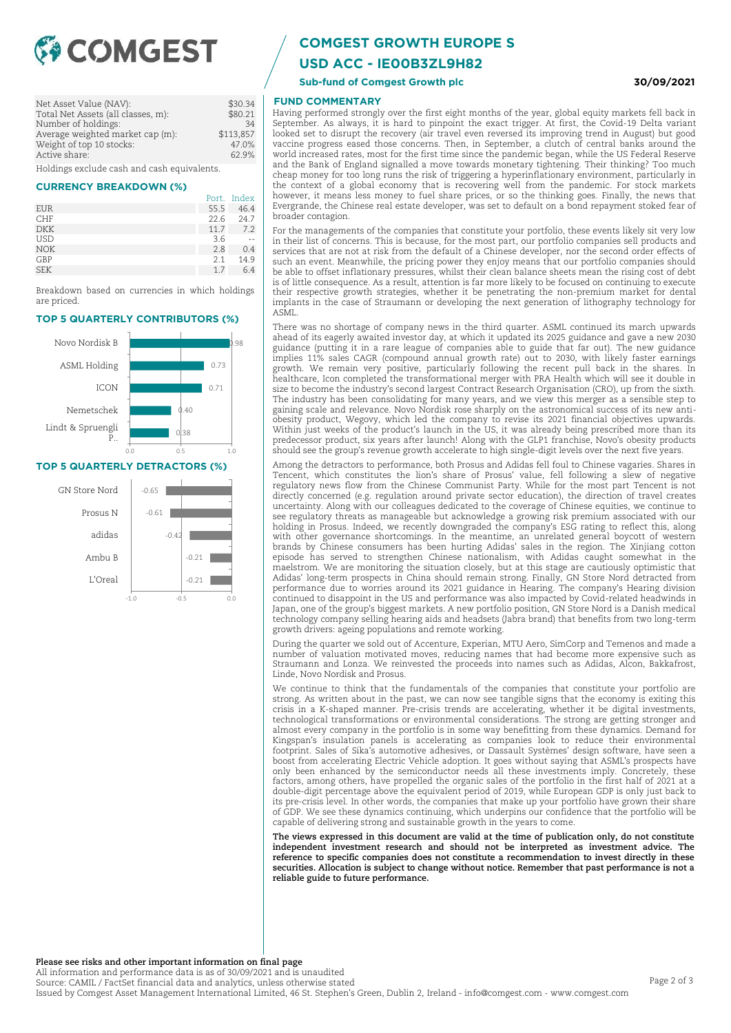

| Net Asset Value (NAV):                      | \$30.34   |
|---------------------------------------------|-----------|
| Total Net Assets (all classes, m):          | \$80.21   |
| Number of holdings:                         | 34        |
| Average weighted market cap (m):            | \$113,857 |
| Weight of top 10 stocks:                    | 47.0%     |
| Active share:                               | 62.9%     |
| Holdings exclude cash and cash equivalents. |           |

#### **CURRENCY BREAKDOWN (%)**

|            |      | Port. Index |
|------------|------|-------------|
| EUR        | 55.5 | 46.4        |
| <b>CHF</b> | 22.6 | 24.7        |
| <b>DKK</b> | 11.7 | 7.2         |
| <b>USD</b> | 3.6  |             |
| <b>NOK</b> | 2.8  | 0.4         |
| GBP        | 2.1  | 14.9        |
| <b>SEK</b> | 1.7  | 6.4         |

Breakdown based on currencies in which holdings are priced.

#### **TOP 5 QUARTERLY CONTRIBUTORS (%)**



#### **TOP 5 QUARTERLY DETRACTORS (%)**



## **COMGEST GROWTH EUROPE S**

**USD ACC - IE00B3ZL9H82**

**Sub-fund of Comgest Growth plc 30/09/2021**

## **FUND COMMENTARY**

Having performed strongly over the first eight months of the year, global equity markets fell back in September. As always, it is hard to pinpoint the exact trigger. At first, the Covid-19 Delta variant looked set to disrupt the recovery (air travel even reversed its improving trend in August) but good vaccine progress eased those concerns. Then, in September, a clutch of central banks around the world increased rates, most for the first time since the pandemic began, while the US Federal Reserve and the Bank of England signalled a move towards monetary tightening. Their thinking? Too much cheap money for too long runs the risk of triggering a hyperinflationary environment, particularly in the context of a global economy that is recovering well from the pandemic. For stock markets however, it means less money to fuel share prices, or so the thinking goes. Finally, the news that Evergrande, the Chinese real estate developer, was set to default on a bond repayment stoked fear of broader contagion.

For the managements of the companies that constitute your portfolio, these events likely sit very low in their list of concerns. This is because, for the most part, our portfolio companies sell products and services that are not at risk from the default of a Chinese developer, nor the second order effects of such an event. Meanwhile, the pricing power they enjoy means that our portfolio companies should be able to offset inflationary pressures, whilst their clean balance sheets mean the rising cost of debt is of little consequence. As a result, attention is far more likely to be focused on continuing to execute their respective growth strategies, whether it be penetrating the non-premium market for dental implants in the case of Straumann or developing the next generation of lithography technology for ASML.

There was no shortage of company news in the third quarter. ASML continued its march upwards ahead of its eagerly awaited investor day, at which it updated its 2025 guidance and gave a new 2030 guidance (putting it in a rare league of companies able to guide that far out). The new guidance implies 11% sales CAGR (compound annual growth rate) out to 2030, with likely faster earnings growth. We remain very positive, particularly following the recent pull back in the shares. In healthcare, Icon completed the transformational merger with PRA Health which will see it double in size to become the industry's second largest Contract Research Organisation (CRO), up from the sixth. The industry has been consolidating for many years, and we view this merger as a sensible step to gaining scale and relevance. Novo Nordisk rose sharply on the astronomical success of its new antiobesity product, Wegovy, which led the company to revise its 2021 financial objectives upwards. Within just weeks of the product's launch in the US, it was already being prescribed more than its predecessor product, six years after launch! Along with the GLP1 franchise, Novo's obesity products should see the group's revenue growth accelerate to high single-digit levels over the next five years.

Among the detractors to performance, both Prosus and Adidas fell foul to Chinese vagaries. Shares in Tencent, which constitutes the lion's share of Prosus' value, fell following a slew of negative regulatory news flow from the Chinese Communist Party. While for the most part Tencent is not directly concerned (e.g. regulation around private sector education), the direction of travel creates uncertainty. Along with our colleagues dedicated to the coverage of Chinese equities, we continue to see regulatory threats as manageable but acknowledge a growing risk premium associated with our holding in Prosus. Indeed, we recently downgraded the company's ESG rating to reflect this, along with other governance shortcomings. In the meantime, an unrelated general boycott of western brands by Chinese consumers has been hurting Adidas' sales in the region. The Xinjiang cotton episode has served to strengthen Chinese nationalism, with Adidas caught somewhat in the maelstrom. We are monitoring the situation closely, but at this stage are cautiously optimistic that Adidas' long-term prospects in China should remain strong. Finally, GN Store Nord detracted from performance due to worries around its 2021 guidance in Hearing. The company's Hearing division continued to disappoint in the US and performance was also impacted by Covid-related headwinds in Japan, one of the group's biggest markets. A new portfolio position, GN Store Nord is a Danish medical technology company selling hearing aids and headsets (Jabra brand) that benefits from two long-term growth drivers: ageing populations and remote working.

During the quarter we sold out of Accenture, Experian, MTU Aero, SimCorp and Temenos and made a number of valuation motivated moves, reducing names that had become more expensive such as Straumann and Lonza. We reinvested the proceeds into names such as Adidas, Alcon, Bakkafrost, Linde, Novo Nordisk and Prosus.

We continue to think that the fundamentals of the companies that constitute your portfolio are strong. As written about in the past, we can now see tangible signs that the economy is exiting this crisis in a K-shaped manner. Pre-crisis trends are accelerating, whether it be digital investments, technological transformations or environmental considerations. The strong are getting stronger and almost every company in the portfolio is in some way benefitting from these dynamics. Demand for Kingspan's insulation panels is accelerating as companies look to reduce their environmental footprint. Sales of Sika's automotive adhesives, or Dassault Systèmes' design software, have seen a boost from accelerating Electric Vehicle adoption. It goes without saying that ASML's prospects have only been enhanced by the semiconductor needs all these investments imply. Concretely, these factors, among others, have propelled the organic sales of the portfolio in the first half of 2021 at a double-digit percentage above the equivalent period of 2019, while European GDP is only just back to its pre-crisis level. In other words, the companies that make up your portfolio have grown their share of GDP. We see these dynamics continuing, which underpins our confidence that the portfolio will be capable of delivering strong and sustainable growth in the years to come.

**The views expressed in this document are valid at the time of publication only, do not constitute independent investment research and should not be interpreted as investment advice. The reference to specific companies does not constitute a recommendation to invest directly in these securities. Allocation is subject to change without notice. Remember that past performance is not a reliable guide to future performance.**

**Please see risks and other important information on final page**